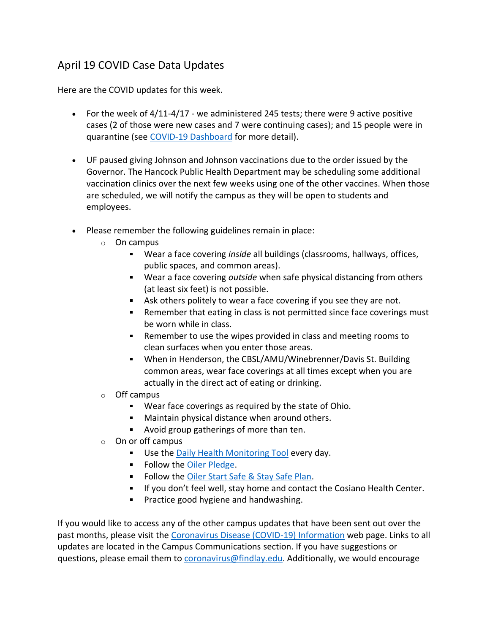## April 19 COVID Case Data Updates

Here are the COVID updates for this week.

- For the week of  $4/11-4/17$  we administered 245 tests; there were 9 active positive cases (2 of those were new cases and 7 were continuing cases); and 15 people were in quarantine (see [COVID-19 Dashboard](https://www.findlay.edu/oiler-start-safe-and-stay-safe/covid-dashboard) for more detail).
- UF paused giving Johnson and Johnson vaccinations due to the order issued by the Governor. The Hancock Public Health Department may be scheduling some additional vaccination clinics over the next few weeks using one of the other vaccines. When those are scheduled, we will notify the campus as they will be open to students and employees.
- Please remember the following guidelines remain in place:
	- o On campus
		- Wear a face covering *inside* all buildings (classrooms, hallways, offices, public spaces, and common areas).
		- Wear a face covering *outside* when safe physical distancing from others (at least six feet) is not possible.
		- Ask others politely to wear a face covering if you see they are not.
		- **Remember that eating in class is not permitted since face coverings must** be worn while in class.
		- Remember to use the wipes provided in class and meeting rooms to clean surfaces when you enter those areas.
		- When in Henderson, the CBSL/AMU/Winebrenner/Davis St. Building common areas, wear face coverings at all times except when you are actually in the direct act of eating or drinking.
	- o Off campus
		- Wear face coverings as required by the state of Ohio.
		- **Maintain physical distance when around others.**
		- **Avoid group gatherings of more than ten.**
	- o On or off campus
		- **Use the [Daily Health Monitoring Tool](https://findlayu.workflowcloud.com/forms/c6f714d6-a1f3-4a6d-874c-9fedc91de3be) every day.**
		- Follow the [Oiler Pledge.](https://www.findlay.edu/oiler-start-safe-and-stay-safe/oiler-nation-community-pledge)
		- Follow the [Oiler Start Safe & Stay Safe Plan.](https://www.findlay.edu/oiler-start-safe-and-stay-safe/)
		- **If you don't feel well, stay home and contact the Cosiano Health Center.**
		- **Practice good hygiene and handwashing.**

If you would like to access any of the other campus updates that have been sent out over the past months, please visit the [Coronavirus Disease \(COVID-19\) Information](https://www.findlay.edu/offices/student-affairs/safety-security/health-alerts) web page. Links to all updates are located in the Campus Communications section. If you have suggestions or questions, please email them to [coronavirus@findlay.edu.](mailto:coronavirus@findlay.edu) Additionally, we would encourage